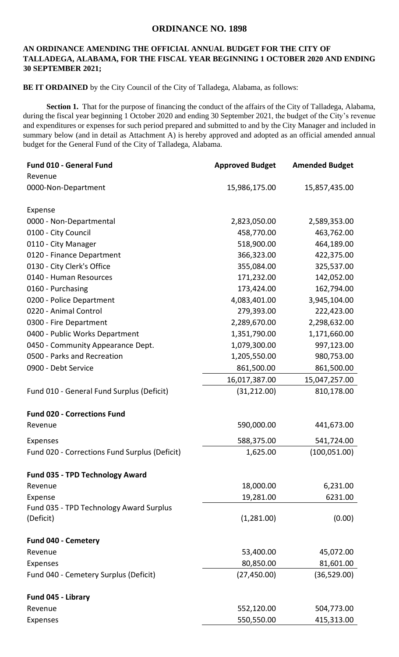## **ORDINANCE NO. 1898**

## **AN ORDINANCE AMENDING THE OFFICIAL ANNUAL BUDGET FOR THE CITY OF TALLADEGA, ALABAMA, FOR THE FISCAL YEAR BEGINNING 1 OCTOBER 2020 AND ENDING 30 SEPTEMBER 2021;**

**BE IT ORDAINED** by the City Council of the City of Talladega, Alabama, as follows:

**Section 1.** That for the purpose of financing the conduct of the affairs of the City of Talladega, Alabama, during the fiscal year beginning 1 October 2020 and ending 30 September 2021, the budget of the City's revenue and expenditures or expenses for such period prepared and submitted to and by the City Manager and included in summary below (and in detail as Attachment A) is hereby approved and adopted as an official amended annual budget for the General Fund of the City of Talladega, Alabama.

| Fund 010 - General Fund                       | <b>Approved Budget</b> | <b>Amended Budget</b> |
|-----------------------------------------------|------------------------|-----------------------|
| Revenue                                       |                        |                       |
| 0000-Non-Department                           | 15,986,175.00          | 15,857,435.00         |
| Expense                                       |                        |                       |
| 0000 - Non-Departmental                       | 2,823,050.00           | 2,589,353.00          |
| 0100 - City Council                           | 458,770.00             | 463,762.00            |
| 0110 - City Manager                           | 518,900.00             | 464,189.00            |
| 0120 - Finance Department                     | 366,323.00             | 422,375.00            |
| 0130 - City Clerk's Office                    | 355,084.00             | 325,537.00            |
| 0140 - Human Resources                        | 171,232.00             | 142,052.00            |
| 0160 - Purchasing                             | 173,424.00             | 162,794.00            |
| 0200 - Police Department                      | 4,083,401.00           | 3,945,104.00          |
| 0220 - Animal Control                         | 279,393.00             | 222,423.00            |
| 0300 - Fire Department                        | 2,289,670.00           | 2,298,632.00          |
| 0400 - Public Works Department                | 1,351,790.00           | 1,171,660.00          |
| 0450 - Community Appearance Dept.             | 1,079,300.00           | 997,123.00            |
| 0500 - Parks and Recreation                   | 1,205,550.00           | 980,753.00            |
| 0900 - Debt Service                           | 861,500.00             | 861,500.00            |
|                                               | 16,017,387.00          | 15,047,257.00         |
| Fund 010 - General Fund Surplus (Deficit)     | (31, 212.00)           | 810,178.00            |
| <b>Fund 020 - Corrections Fund</b>            |                        |                       |
| Revenue                                       | 590,000.00             | 441,673.00            |
| Expenses                                      | 588,375.00             | 541,724.00            |
| Fund 020 - Corrections Fund Surplus (Deficit) | 1,625.00               | (100, 051.00)         |
| <b>Fund 035 - TPD Technology Award</b>        |                        |                       |
| Revenue                                       | 18,000.00              | 6,231.00              |
| Expense                                       | 19,281.00              | 6231.00               |
| Fund 035 - TPD Technology Award Surplus       |                        |                       |
| (Deficit)                                     | (1,281.00)             | (0.00)                |
| Fund 040 - Cemetery                           |                        |                       |
| Revenue                                       | 53,400.00              | 45,072.00             |
| <b>Expenses</b>                               | 80,850.00              | 81,601.00             |
| Fund 040 - Cemetery Surplus (Deficit)         | (27, 450.00)           | (36,529.00)           |
| Fund 045 - Library                            |                        |                       |
| Revenue                                       | 552,120.00             | 504,773.00            |
| Expenses                                      | 550,550.00             | 415,313.00            |